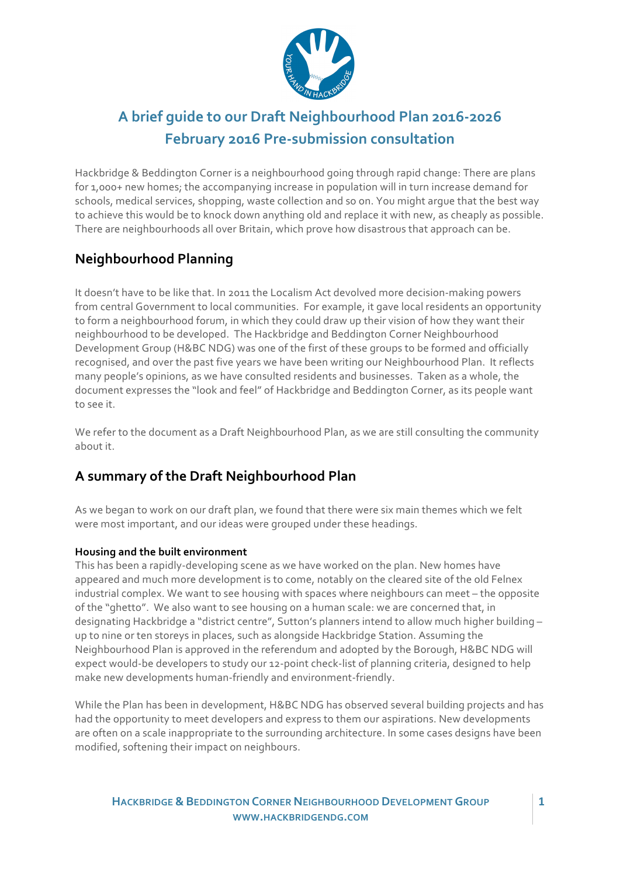

# A brief quide to our Draft Neighbourhood Plan 2016-2026 **February 2016 Pre-submission consultation**

Hackbridge & Beddington Corner is a neighbourhood going through rapid change: There are plans for 1,000+ new homes; the accompanying increase in population will in turn increase demand for schools, medical services, shopping, waste collection and so on. You might argue that the best way to achieve this would be to knock down anything old and replace it with new, as cheaply as possible. There are neighbourhoods all over Britain, which prove how disastrous that approach can be.

# **Neighbourhood Planning**

It doesn't have to be like that. In 2011 the Localism Act devolved more decision-making powers from central Government to local communities. For example, it gave local residents an opportunity to form a neighbourhood forum, in which they could draw up their vision of how they want their neighbourhood to be developed. The Hackbridge and Beddington Corner Neighbourhood Development Group (H&BC NDG) was one of the first of these groups to be formed and officially recognised, and over the past five years we have been writing our Neighbourhood Plan. It reflects many people's opinions, as we have consulted residents and businesses. Taken as a whole, the document expresses the "look and feel" of Hackbridge and Beddington Corner, as its people want to see it.

We refer to the document as a Draft Neighbourhood Plan, as we are still consulting the community about it.

### A summary of the Draft Neighbourhood Plan

As we began to work on our draft plan, we found that there were six main themes which we felt were most important, and our ideas were grouped under these headings.

### **Housing and the built environment**

This has been a rapidly-developing scene as we have worked on the plan. New homes have appeared and much more development is to come, notably on the cleared site of the old Felnex industrial complex. We want to see housing with spaces where neighbours can meet - the opposite of the "ghetto". We also want to see housing on a human scale: we are concerned that, in designating Hackbridge a "district centre", Sutton's planners intend to allow much higher building up to nine or ten storeys in places, such as alongside Hackbridge Station. Assuming the Neighbourhood Plan is approved in the referendum and adopted by the Borough, H&BC NDG will expect would-be developers to study our 12-point check-list of planning criteria, designed to help make new developments human-friendly and environment-friendly.

While the Plan has been in development, H&BC NDG has observed several building projects and has had the opportunity to meet developers and express to them our aspirations. New developments are often on a scale inappropriate to the surrounding architecture. In some cases designs have been modified, softening their impact on neighbours.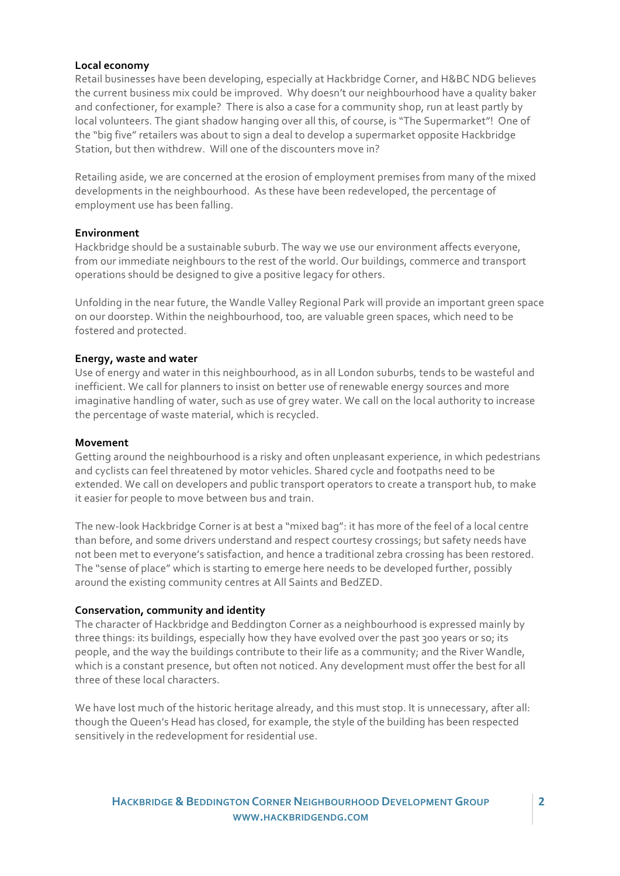#### **Local economy**

Retail businesses have been developing, especially at Hackbridge Corner, and H&BC NDG believes the current business mix could be improved. Why doesn't our neighbourhood have a quality baker and confectioner, for example? There is also a case for a community shop, run at least partly by local volunteers. The giant shadow hanging over all this, of course, is "The Supermarket"! One of the "big five" retailers was about to sign a deal to develop a supermarket opposite Hackbridge Station, but then withdrew. Will one of the discounters move in?

Retailing aside, we are concerned at the erosion of employment premises from many of the mixed developments in the neighbourhood. As these have been redeveloped, the percentage of employment use has been falling.

#### **Environment**

Hackbridge should be a sustainable suburb. The way we use our environment affects everyone, from our immediate neighbours to the rest of the world. Our buildings, commerce and transport operations should be designed to give a positive legacy for others.

Unfolding in the near future, the Wandle Valley Regional Park will provide an important green space on our doorstep. Within the neighbourhood, too, are valuable green spaces, which need to be fostered and protected.

#### **Energy, waste and water**

Use of energy and water in this neighbourhood, as in all London suburbs, tends to be wasteful and inefficient. We call for planners to insist on better use of renewable energy sources and more imaginative handling of water, such as use of grey water. We call on the local authority to increase the percentage of waste material, which is recycled.

#### **Movement**

Getting around the neighbourhood is a risky and often unpleasant experience, in which pedestrians and cyclists can feel threatened by motor vehicles. Shared cycle and footpaths need to be extended. We call on developers and public transport operators to create a transport hub, to make it easier for people to move between bus and train.

The new-look Hackbridge Corner is at best a "mixed bag": it has more of the feel of a local centre than before, and some drivers understand and respect courtesy crossings; but safety needs have not been met to everyone's satisfaction, and hence a traditional zebra crossing has been restored. The "sense of place" which is starting to emerge here needs to be developed further, possibly around the existing community centres at All Saints and BedZED.

#### **Conservation, community and identity**

The character of Hackbridge and Beddington Corner as a neighbourhood is expressed mainly by three things: its buildings, especially how they have evolved over the past 300 years or so; its people, and the way the buildings contribute to their life as a community; and the River Wandle, which is a constant presence, but often not noticed. Any development must offer the best for all three of these local characters.

We have lost much of the historic heritage already, and this must stop. It is unnecessary, after all: though the Queen's Head has closed, for example, the style of the building has been respected sensitively in the redevelopment for residential use.